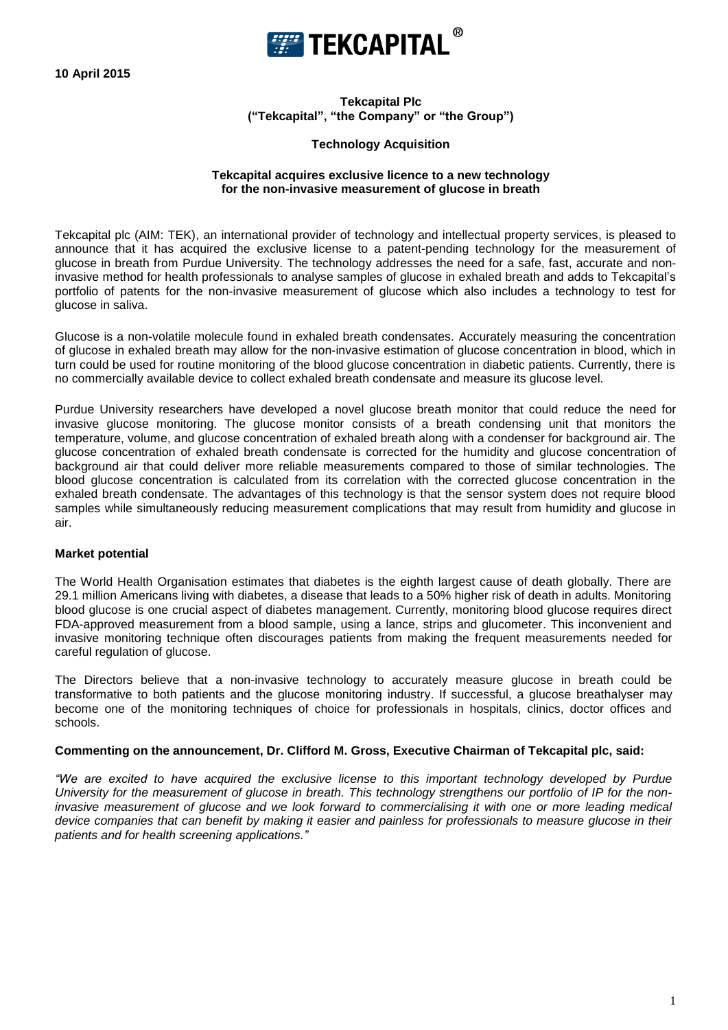**10 April 2015**



**Tekcapital Plc ("Tekcapital", "the Company" or "the Group")**

# **Technology Acquisition**

# **Tekcapital acquires exclusive licence to a new technology for the non-invasive measurement of glucose in breath**

Tekcapital plc (AIM: TEK), an international provider of technology and intellectual property services, is pleased to announce that it has acquired the exclusive license to a patent-pending technology for the measurement of glucose in breath from Purdue University. The technology addresses the need for a safe, fast, accurate and noninvasive method for health professionals to analyse samples of glucose in exhaled breath and adds to Tekcapital's portfolio of patents for the non-invasive measurement of glucose which also includes a technology to test for glucose in saliva.

Glucose is a non-volatile molecule found in exhaled breath condensates. Accurately measuring the concentration of glucose in exhaled breath may allow for the non-invasive estimation of glucose concentration in blood, which in turn could be used for routine monitoring of the blood glucose concentration in diabetic patients. Currently, there is no commercially available device to collect exhaled breath condensate and measure its glucose level.

Purdue University researchers have developed a novel glucose breath monitor that could reduce the need for invasive glucose monitoring. The glucose monitor consists of a breath condensing unit that monitors the temperature, volume, and glucose concentration of exhaled breath along with a condenser for background air. The glucose concentration of exhaled breath condensate is corrected for the humidity and glucose concentration of background air that could deliver more reliable measurements compared to those of similar technologies. The blood glucose concentration is calculated from its correlation with the corrected glucose concentration in the exhaled breath condensate. The advantages of this technology is that the sensor system does not require blood samples while simultaneously reducing measurement complications that may result from humidity and glucose in air.

# **Market potential**

The World Health Organisation estimates that diabetes is the eighth largest cause of death globally. There are 29.1 million Americans living with diabetes, a disease that leads to a 50% higher risk of death in adults. Monitoring blood glucose is one crucial aspect of diabetes management. Currently, monitoring blood glucose requires direct FDA-approved measurement from a blood sample, using a lance, strips and glucometer. This inconvenient and invasive monitoring technique often discourages patients from making the frequent measurements needed for careful regulation of glucose.

The Directors believe that a non-invasive technology to accurately measure glucose in breath could be transformative to both patients and the glucose monitoring industry. If successful, a glucose breathalyser may become one of the monitoring techniques of choice for professionals in hospitals, clinics, doctor offices and schools.

## **Commenting on the announcement, Dr. Clifford M. Gross, Executive Chairman of Tekcapital plc, said:**

*"We are excited to have acquired the exclusive license to this important technology developed by Purdue University for the measurement of glucose in breath. This technology strengthens our portfolio of IP for the noninvasive measurement of glucose and we look forward to commercialising it with one or more leading medical device companies that can benefit by making it easier and painless for professionals to measure glucose in their patients and for health screening applications."*